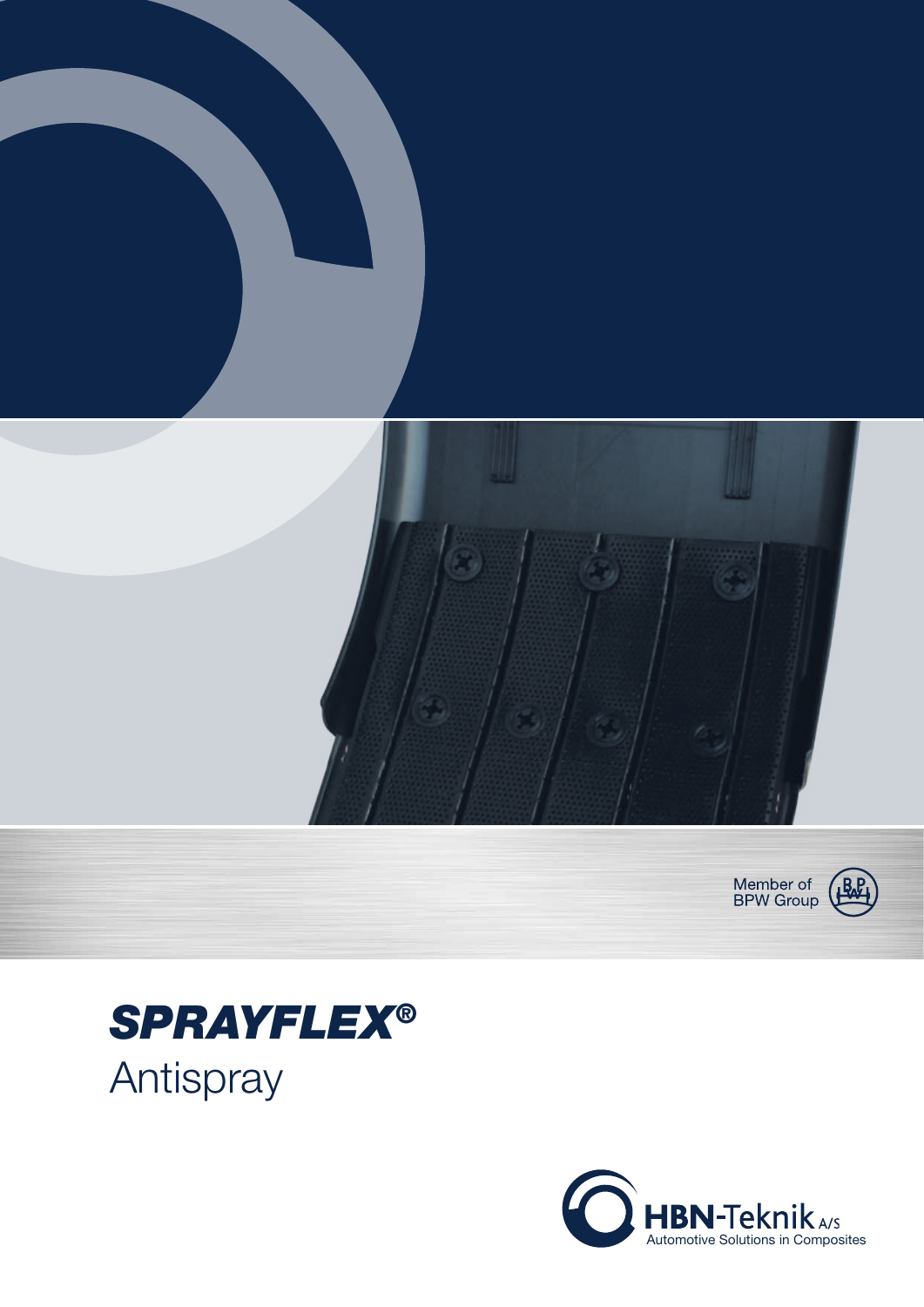





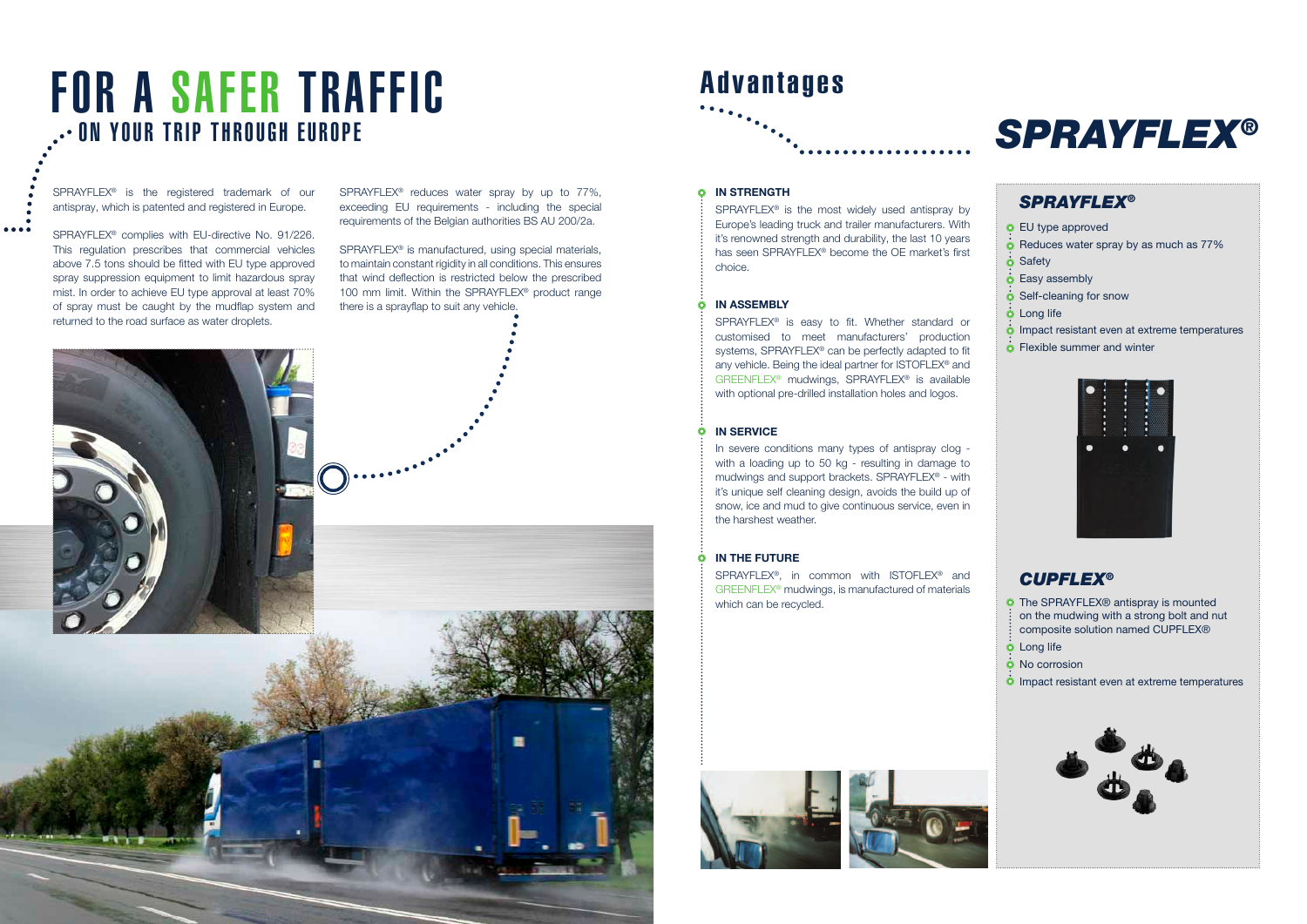#### *SPRAYFLEX®*

EU type approved  $\dot{\bullet}$  Reduces water spray by as much as 77% **o** Safety  $\dot{\bullet}$  Easy assembly  $\dot{\mathbf{o}}$  Self-cleaning for snow  $\dot{\bullet}$  Long life  $\dot{\mathbf{O}}$  Impact resistant even at extreme temperatures **O** Flexible summer and winter



#### *CUPFLEX®*

**O** The SPRAYFLEX® antispray is mounted on the mudwing with a strong bolt and nut  $\frac{1}{2}$  composite solution named CUPFLEX® **O** Long life

**SPRAYFLEX® is approved in the EU according to directive no. 91-226-001. In the EU according to directive no. 91-226-001. In the EU according to directive no. 91-226-001. In the EU according to directive no. 91-226-001. In** 

 $\vdots$  of the directive directive directive directive different must be led to the ground. The grounder  $\bullet$  impact resistant even at extreme temperatures



impact resistant materials.

*SPRAYFLEX®* has been tested from 77% up to 90%.

# FOR A SAFER TRAFFIC<br>
FOR A SAFER TRAFFIC<br>
SPRAYFLEX®

SPRAYFLEX<sup>®</sup> is the registered trademark of our antispray, which is patented and registered in Europe.

 $\bullet \bullet \bullet$ 



SPRAYFLEX<sup>®</sup> complies with EU-directive No. 91/226. This regulation prescribes that commercial vehicles above 7.5 tons should be fitted with EU type approved spray suppression equipment to limit hazardous spray mist. In order to achieve EU type approval at least 70% of spray must be caught by the mudflap system and returned to the road surface as water droplets.

impact resistant materials.

SPRAYFLEX<sup>®</sup> reduces water spray by up to 77%, exceeding EU requirements - including the special requirements of the Belgian authorities BS AU 200/2a.

SPRAYFLEX<sup>®</sup> is manufactured, using special materials, to maintain constant rigidity in all conditions. This ensures that wind deflection is restricted below the prescribed 100 mm limit. Within the SPRAYFLEX<sup>®</sup> product range there is a sprayflap to suit any vehicle.

*SPRAYFLEX®* has been tested from 77% up to 90%.





SPRAYFLEX<sup>®</sup> is the most widely used antispray by Europe's leading truck and trailer manufacturers. With it's renowned strength and durability, the last 10 years has seen SPRAYFLEX® become the OE market's first choice.

## Advantages

#### **O** IN STRENGTH

**The SPRAYFLEX<sup>®</sup>, in common with ISTOFLEX<sup>®</sup> and <b>CUPFI** GREENFLEX<sup>®</sup> mudwings, is manufactured of materials which can be recycled.

#### In assembly

SPRAYFLEX<sup>®</sup> is easy to fit. Whether standard or customised to meet manufacturers' production systems, SPRAYFLEX<sup>®</sup> can be perfectly adapted to fit any vehicle. Being the ideal partner for ISTOFLEX® and GREENFLEX<sup>®</sup> mudwings, SPRAYFLEX<sup>®</sup> is available with optional pre-drilled installation holes and logos.

#### $\ddot{\mathbf{O}}$ **IN SERVICE**

In severe conditions many types of antispray clog with a loading up to 50 kg - resulting in damage to mudwings and support brackets. SPRAYFLEX<sup>®</sup> - with it's unique self cleaning design, avoids the build up of snow, ice and mud to give continuous service, even in the harshest weather.

#### in the future